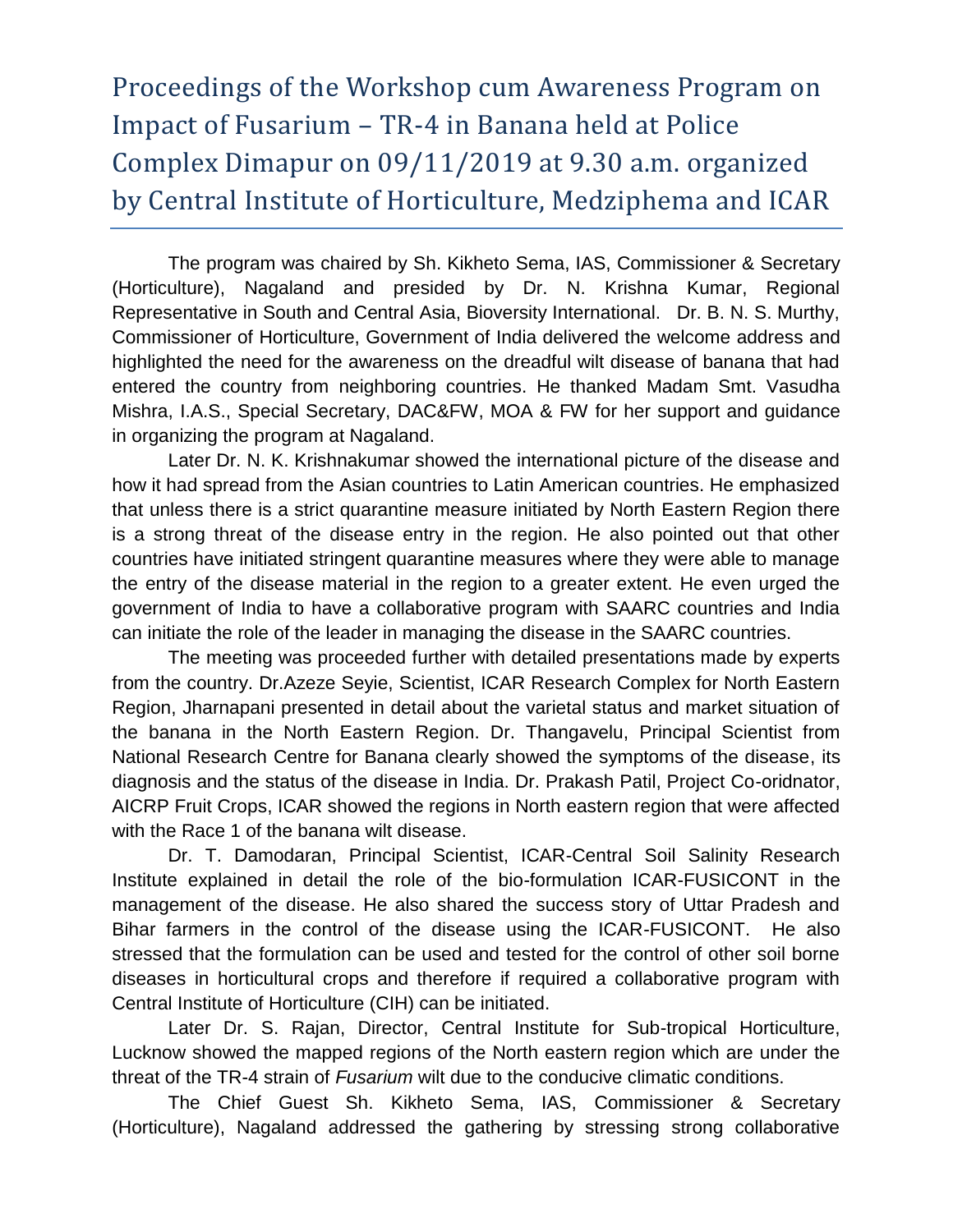## Proceedings of the Workshop cum Awareness Program on Impact of Fusarium – TR-4 in Banana held at Police Complex Dimapur on 09/11/2019 at 9.30 a.m. organized by Central Institute of Horticulture, Medziphema and ICAR

The program was chaired by Sh. Kikheto Sema, IAS, Commissioner & Secretary (Horticulture), Nagaland and presided by Dr. N. Krishna Kumar, Regional Representative in South and Central Asia, Bioversity International. Dr. B. N. S. Murthy, Commissioner of Horticulture, Government of India delivered the welcome address and highlighted the need for the awareness on the dreadful wilt disease of banana that had entered the country from neighboring countries. He thanked Madam Smt. Vasudha Mishra, I.A.S., Special Secretary, DAC&FW, MOA & FW for her support and guidance in organizing the program at Nagaland.

Later Dr. N. K. Krishnakumar showed the international picture of the disease and how it had spread from the Asian countries to Latin American countries. He emphasized that unless there is a strict quarantine measure initiated by North Eastern Region there is a strong threat of the disease entry in the region. He also pointed out that other countries have initiated stringent quarantine measures where they were able to manage the entry of the disease material in the region to a greater extent. He even urged the government of India to have a collaborative program with SAARC countries and India can initiate the role of the leader in managing the disease in the SAARC countries.

The meeting was proceeded further with detailed presentations made by experts from the country. Dr.Azeze Seyie, Scientist, ICAR Research Complex for North Eastern Region, Jharnapani presented in detail about the varietal status and market situation of the banana in the North Eastern Region. Dr. Thangavelu, Principal Scientist from National Research Centre for Banana clearly showed the symptoms of the disease, its diagnosis and the status of the disease in India. Dr. Prakash Patil, Project Co-oridnator, AICRP Fruit Crops, ICAR showed the regions in North eastern region that were affected with the Race 1 of the banana wilt disease.

Dr. T. Damodaran, Principal Scientist, ICAR-Central Soil Salinity Research Institute explained in detail the role of the bio-formulation ICAR-FUSICONT in the management of the disease. He also shared the success story of Uttar Pradesh and Bihar farmers in the control of the disease using the ICAR-FUSICONT. He also stressed that the formulation can be used and tested for the control of other soil borne diseases in horticultural crops and therefore if required a collaborative program with Central Institute of Horticulture (CIH) can be initiated.

Later Dr. S. Rajan, Director, Central Institute for Sub-tropical Horticulture, Lucknow showed the mapped regions of the North eastern region which are under the threat of the TR-4 strain of *Fusarium* wilt due to the conducive climatic conditions.

The Chief Guest Sh. Kikheto Sema, IAS, Commissioner & Secretary (Horticulture), Nagaland addressed the gathering by stressing strong collaborative